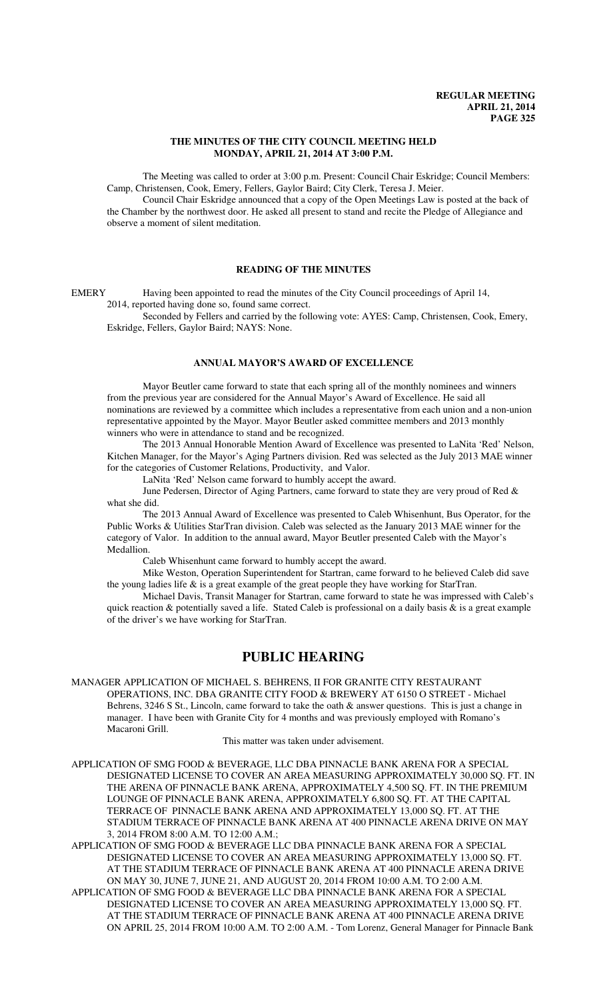### **THE MINUTES OF THE CITY COUNCIL MEETING HELD MONDAY, APRIL 21, 2014 AT 3:00 P.M.**

The Meeting was called to order at 3:00 p.m. Present: Council Chair Eskridge; Council Members: Camp, Christensen, Cook, Emery, Fellers, Gaylor Baird; City Clerk, Teresa J. Meier.

Council Chair Eskridge announced that a copy of the Open Meetings Law is posted at the back of the Chamber by the northwest door. He asked all present to stand and recite the Pledge of Allegiance and observe a moment of silent meditation.

## **READING OF THE MINUTES**

EMERY Having been appointed to read the minutes of the City Council proceedings of April 14,

2014, reported having done so, found same correct.

Seconded by Fellers and carried by the following vote: AYES: Camp, Christensen, Cook, Emery, Eskridge, Fellers, Gaylor Baird; NAYS: None.

## **ANNUAL MAYOR'S AWARD OF EXCELLENCE**

Mayor Beutler came forward to state that each spring all of the monthly nominees and winners from the previous year are considered for the Annual Mayor's Award of Excellence. He said all nominations are reviewed by a committee which includes a representative from each union and a non-union representative appointed by the Mayor. Mayor Beutler asked committee members and 2013 monthly winners who were in attendance to stand and be recognized.

The 2013 Annual Honorable Mention Award of Excellence was presented to LaNita 'Red' Nelson, Kitchen Manager, for the Mayor's Aging Partners division. Red was selected as the July 2013 MAE winner for the categories of Customer Relations, Productivity, and Valor.

LaNita 'Red' Nelson came forward to humbly accept the award.

June Pedersen, Director of Aging Partners, came forward to state they are very proud of Red & what she did.

The 2013 Annual Award of Excellence was presented to Caleb Whisenhunt, Bus Operator, for the Public Works & Utilities StarTran division. Caleb was selected as the January 2013 MAE winner for the category of Valor. In addition to the annual award, Mayor Beutler presented Caleb with the Mayor's Medallion.

Caleb Whisenhunt came forward to humbly accept the award.

Mike Weston, Operation Superintendent for Startran, came forward to he believed Caleb did save the young ladies life  $\&$  is a great example of the great people they have working for StarTran.

Michael Davis, Transit Manager for Startran, came forward to state he was impressed with Caleb's quick reaction  $\&$  potentially saved a life. Stated Caleb is professional on a daily basis  $\&$  is a great example of the driver's we have working for StarTran.

## **PUBLIC HEARING**

MANAGER APPLICATION OF MICHAEL S. BEHRENS, II FOR GRANITE CITY RESTAURANT OPERATIONS, INC. DBA GRANITE CITY FOOD & BREWERY AT 6150 O STREET - Michael Behrens, 3246 S St., Lincoln, came forward to take the oath & answer questions. This is just a change in manager. I have been with Granite City for 4 months and was previously employed with Romano's Macaroni Grill.

This matter was taken under advisement.

APPLICATION OF SMG FOOD & BEVERAGE, LLC DBA PINNACLE BANK ARENA FOR A SPECIAL DESIGNATED LICENSE TO COVER AN AREA MEASURING APPROXIMATELY 30,000 SQ. FT. IN THE ARENA OF PINNACLE BANK ARENA, APPROXIMATELY 4,500 SQ. FT. IN THE PREMIUM LOUNGE OF PINNACLE BANK ARENA, APPROXIMATELY 6,800 SQ. FT. AT THE CAPITAL TERRACE OF PINNACLE BANK ARENA AND APPROXIMATELY 13,000 SQ. FT. AT THE STADIUM TERRACE OF PINNACLE BANK ARENA AT 400 PINNACLE ARENA DRIVE ON MAY 3, 2014 FROM 8:00 A.M. TO 12:00 A.M.;

APPLICATION OF SMG FOOD & BEVERAGE LLC DBA PINNACLE BANK ARENA FOR A SPECIAL DESIGNATED LICENSE TO COVER AN AREA MEASURING APPROXIMATELY 13,000 SQ. FT. AT THE STADIUM TERRACE OF PINNACLE BANK ARENA AT 400 PINNACLE ARENA DRIVE ON MAY 30, JUNE 7, JUNE 21, AND AUGUST 20, 2014 FROM 10:00 A.M. TO 2:00 A.M.

APPLICATION OF SMG FOOD & BEVERAGE LLC DBA PINNACLE BANK ARENA FOR A SPECIAL DESIGNATED LICENSE TO COVER AN AREA MEASURING APPROXIMATELY 13,000 SQ. FT. AT THE STADIUM TERRACE OF PINNACLE BANK ARENA AT 400 PINNACLE ARENA DRIVE ON APRIL 25, 2014 FROM 10:00 A.M. TO 2:00 A.M. - Tom Lorenz, General Manager for Pinnacle Bank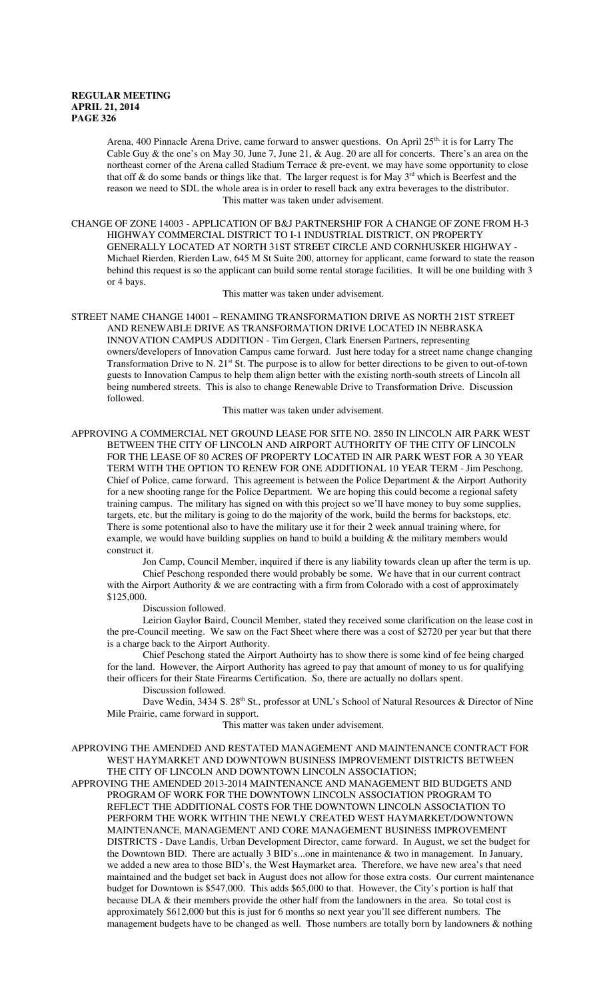Arena, 400 Pinnacle Arena Drive, came forward to answer questions. On April 25<sup>th,</sup> it is for Larry The Cable Guy & the one's on May 30, June 7, June 21,  $\&$  Aug. 20 are all for concerts. There's an area on the northeast corner of the Arena called Stadium Terrace & pre-event, we may have some opportunity to close that off  $\&$  do some bands or things like that. The larger request is for May  $3^{rd}$  which is Beerfest and the reason we need to SDL the whole area is in order to resell back any extra beverages to the distributor. This matter was taken under advisement.

CHANGE OF ZONE 14003 - APPLICATION OF B&J PARTNERSHIP FOR A CHANGE OF ZONE FROM H-3 HIGHWAY COMMERCIAL DISTRICT TO I-1 INDUSTRIAL DISTRICT, ON PROPERTY GENERALLY LOCATED AT NORTH 31ST STREET CIRCLE AND CORNHUSKER HIGHWAY - Michael Rierden, Rierden Law, 645 M St Suite 200, attorney for applicant, came forward to state the reason behind this request is so the applicant can build some rental storage facilities. It will be one building with 3 or 4 bays.

This matter was taken under advisement.

STREET NAME CHANGE 14001 – RENAMING TRANSFORMATION DRIVE AS NORTH 21ST STREET AND RENEWABLE DRIVE AS TRANSFORMATION DRIVE LOCATED IN NEBRASKA INNOVATION CAMPUS ADDITION - Tim Gergen, Clark Enersen Partners, representing owners/developers of Innovation Campus came forward. Just here today for a street name change changing Transformation Drive to N. 21<sup>st</sup> St. The purpose is to allow for better directions to be given to out-of-town guests to Innovation Campus to help them align better with the existing north-south streets of Lincoln all being numbered streets. This is also to change Renewable Drive to Transformation Drive. Discussion followed.

This matter was taken under advisement.

APPROVING A COMMERCIAL NET GROUND LEASE FOR SITE NO. 2850 IN LINCOLN AIR PARK WEST BETWEEN THE CITY OF LINCOLN AND AIRPORT AUTHORITY OF THE CITY OF LINCOLN FOR THE LEASE OF 80 ACRES OF PROPERTY LOCATED IN AIR PARK WEST FOR A 30 YEAR TERM WITH THE OPTION TO RENEW FOR ONE ADDITIONAL 10 YEAR TERM - Jim Peschong, Chief of Police, came forward. This agreement is between the Police Department & the Airport Authority for a new shooting range for the Police Department. We are hoping this could become a regional safety training campus. The military has signed on with this project so we'll have money to buy some supplies, targets, etc. but the military is going to do the majority of the work, build the berms for backstops, etc. There is some potentional also to have the military use it for their 2 week annual training where, for example, we would have building supplies on hand to build a building & the military members would construct it.

Jon Camp, Council Member, inquired if there is any liability towards clean up after the term is up. Chief Peschong responded there would probably be some. We have that in our current contract with the Airport Authority & we are contracting with a firm from Colorado with a cost of approximately \$125,000.

Discussion followed.

Leirion Gaylor Baird, Council Member, stated they received some clarification on the lease cost in the pre-Council meeting. We saw on the Fact Sheet where there was a cost of \$2720 per year but that there is a charge back to the Airport Authority.

Chief Peschong stated the Airport Authoirty has to show there is some kind of fee being charged for the land. However, the Airport Authority has agreed to pay that amount of money to us for qualifying their officers for their State Firearms Certification. So, there are actually no dollars spent. Discussion followed.

Dave Wedin, 3434 S. 28<sup>th</sup> St., professor at UNL's School of Natural Resources & Director of Nine Mile Prairie, came forward in support.

This matter was taken under advisement.

APPROVING THE AMENDED AND RESTATED MANAGEMENT AND MAINTENANCE CONTRACT FOR WEST HAYMARKET AND DOWNTOWN BUSINESS IMPROVEMENT DISTRICTS BETWEEN THE CITY OF LINCOLN AND DOWNTOWN LINCOLN ASSOCIATION;

APPROVING THE AMENDED 2013-2014 MAINTENANCE AND MANAGEMENT BID BUDGETS AND PROGRAM OF WORK FOR THE DOWNTOWN LINCOLN ASSOCIATION PROGRAM TO REFLECT THE ADDITIONAL COSTS FOR THE DOWNTOWN LINCOLN ASSOCIATION TO PERFORM THE WORK WITHIN THE NEWLY CREATED WEST HAYMARKET/DOWNTOWN MAINTENANCE, MANAGEMENT AND CORE MANAGEMENT BUSINESS IMPROVEMENT DISTRICTS - Dave Landis, Urban Development Director, came forward. In August, we set the budget for the Downtown BID. There are actually 3 BID's...one in maintenance  $\&$  two in management. In January, we added a new area to those BID's, the West Haymarket area. Therefore, we have new area's that need maintained and the budget set back in August does not allow for those extra costs. Our current maintenance budget for Downtown is \$547,000. This adds \$65,000 to that. However, the City's portion is half that because DLA & their members provide the other half from the landowners in the area. So total cost is approximately \$612,000 but this is just for 6 months so next year you'll see different numbers. The management budgets have to be changed as well. Those numbers are totally born by landowners & nothing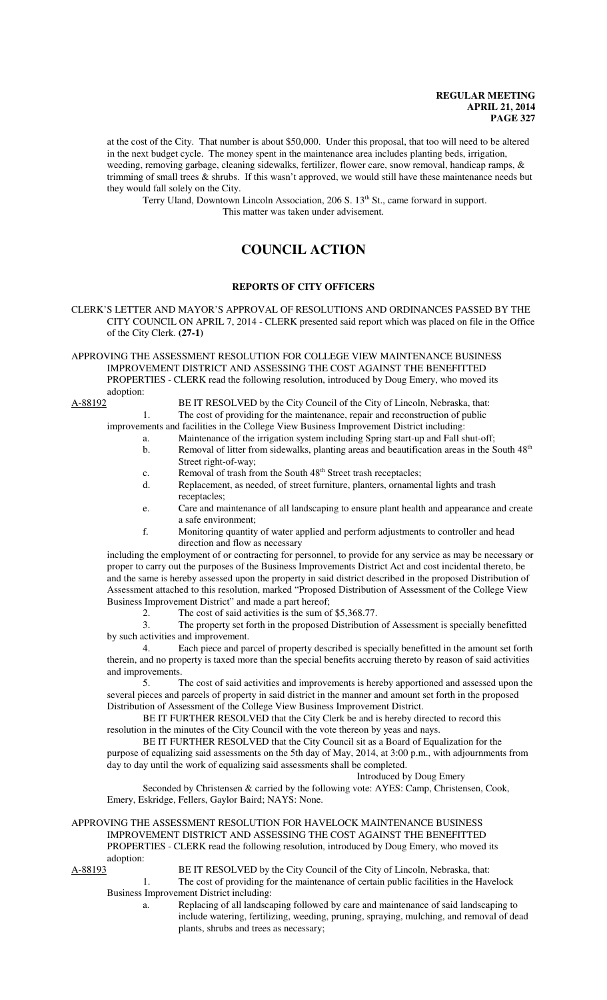at the cost of the City. That number is about \$50,000. Under this proposal, that too will need to be altered in the next budget cycle. The money spent in the maintenance area includes planting beds, irrigation, weeding, removing garbage, cleaning sidewalks, fertilizer, flower care, snow removal, handicap ramps, & trimming of small trees  $\&$  shrubs. If this wasn't approved, we would still have these maintenance needs but they would fall solely on the City.

Terry Uland, Downtown Lincoln Association, 206 S. 13<sup>th</sup> St., came forward in support. This matter was taken under advisement.

# **COUNCIL ACTION**

## **REPORTS OF CITY OFFICERS**

CLERK'S LETTER AND MAYOR'S APPROVAL OF RESOLUTIONS AND ORDINANCES PASSED BY THE CITY COUNCIL ON APRIL 7, 2014 - CLERK presented said report which was placed on file in the Office of the City Clerk. **(27-1)**

APPROVING THE ASSESSMENT RESOLUTION FOR COLLEGE VIEW MAINTENANCE BUSINESS IMPROVEMENT DISTRICT AND ASSESSING THE COST AGAINST THE BENEFITTED PROPERTIES - CLERK read the following resolution, introduced by Doug Emery, who moved its adoption:

A-88192 BE IT RESOLVED by the City Council of the City of Lincoln, Nebraska, that: 1. The cost of providing for the maintenance, repair and reconstruction of public

improvements and facilities in the College View Business Improvement District including:

- a. Maintenance of the irrigation system including Spring start-up and Fall shut-off;
- b. Removal of litter from sidewalks, planting areas and beautification areas in the South 48<sup>th</sup> Street right-of-way;
- c. Removal of trash from the South 48<sup>th</sup> Street trash receptacles;
- d. Replacement, as needed, of street furniture, planters, ornamental lights and trash receptacles;
- e. Care and maintenance of all landscaping to ensure plant health and appearance and create a safe environment;
- f. Monitoring quantity of water applied and perform adjustments to controller and head direction and flow as necessary

including the employment of or contracting for personnel, to provide for any service as may be necessary or proper to carry out the purposes of the Business Improvements District Act and cost incidental thereto, be and the same is hereby assessed upon the property in said district described in the proposed Distribution of Assessment attached to this resolution, marked "Proposed Distribution of Assessment of the College View Business Improvement District" and made a part hereof;

2. The cost of said activities is the sum of \$5,368.77.<br>3. The property set forth in the proposed Distribution

The property set forth in the proposed Distribution of Assessment is specially benefitted by such activities and improvement.

 4. Each piece and parcel of property described is specially benefitted in the amount set forth therein, and no property is taxed more than the special benefits accruing thereto by reason of said activities and improvements.

5. The cost of said activities and improvements is hereby apportioned and assessed upon the several pieces and parcels of property in said district in the manner and amount set forth in the proposed Distribution of Assessment of the College View Business Improvement District.

BE IT FURTHER RESOLVED that the City Clerk be and is hereby directed to record this resolution in the minutes of the City Council with the vote thereon by yeas and nays.

BE IT FURTHER RESOLVED that the City Council sit as a Board of Equalization for the purpose of equalizing said assessments on the 5th day of May, 2014, at 3:00 p.m., with adjournments from day to day until the work of equalizing said assessments shall be completed.

Introduced by Doug Emery

Seconded by Christensen & carried by the following vote: AYES: Camp, Christensen, Cook, Emery, Eskridge, Fellers, Gaylor Baird; NAYS: None.

### APPROVING THE ASSESSMENT RESOLUTION FOR HAVELOCK MAINTENANCE BUSINESS IMPROVEMENT DISTRICT AND ASSESSING THE COST AGAINST THE BENEFITTED PROPERTIES - CLERK read the following resolution, introduced by Doug Emery, who moved its adoption:

A-88193 BE IT RESOLVED by the City Council of the City of Lincoln, Nebraska, that: 1. The cost of providing for the maintenance of certain public facilities in the Havelock

Business Improvement District including:

a. Replacing of all landscaping followed by care and maintenance of said landscaping to include watering, fertilizing, weeding, pruning, spraying, mulching, and removal of dead plants, shrubs and trees as necessary;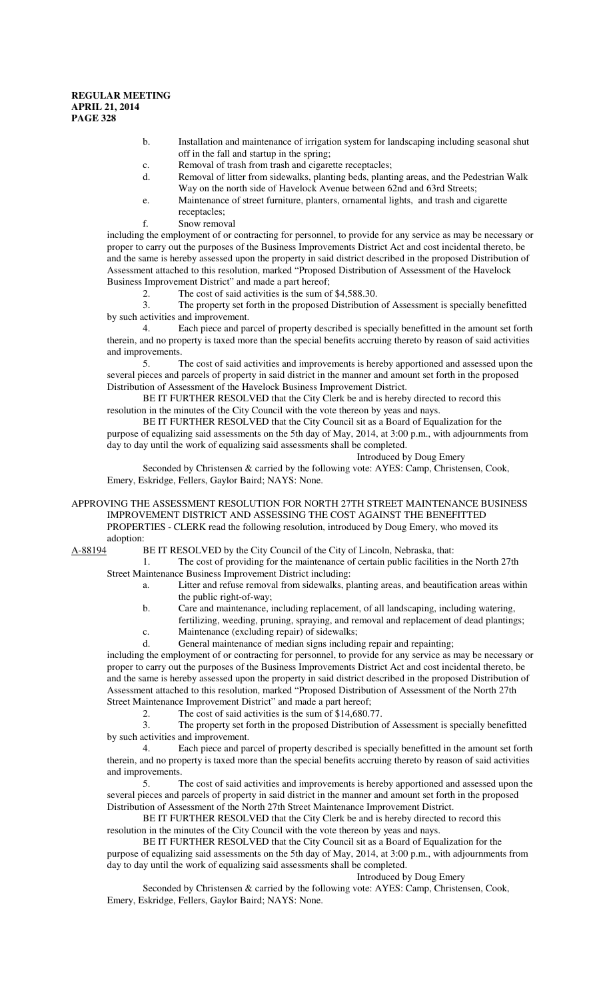- b. Installation and maintenance of irrigation system for landscaping including seasonal shut off in the fall and startup in the spring;
- c. Removal of trash from trash and cigarette receptacles;
- d. Removal of litter from sidewalks, planting beds, planting areas, and the Pedestrian Walk Way on the north side of Havelock Avenue between 62nd and 63rd Streets;
- e. Maintenance of street furniture, planters, ornamental lights, and trash and cigarette receptacles;
- f. Snow removal

including the employment of or contracting for personnel, to provide for any service as may be necessary or proper to carry out the purposes of the Business Improvements District Act and cost incidental thereto, be and the same is hereby assessed upon the property in said district described in the proposed Distribution of Assessment attached to this resolution, marked "Proposed Distribution of Assessment of the Havelock Business Improvement District" and made a part hereof;

2. The cost of said activities is the sum of \$4,588.30.

3. The property set forth in the proposed Distribution of Assessment is specially benefitted by such activities and improvement.

 4. Each piece and parcel of property described is specially benefitted in the amount set forth therein, and no property is taxed more than the special benefits accruing thereto by reason of said activities and improvements.

5. The cost of said activities and improvements is hereby apportioned and assessed upon the several pieces and parcels of property in said district in the manner and amount set forth in the proposed Distribution of Assessment of the Havelock Business Improvement District.

BE IT FURTHER RESOLVED that the City Clerk be and is hereby directed to record this resolution in the minutes of the City Council with the vote thereon by yeas and nays.

BE IT FURTHER RESOLVED that the City Council sit as a Board of Equalization for the purpose of equalizing said assessments on the 5th day of May, 2014, at 3:00 p.m., with adjournments from day to day until the work of equalizing said assessments shall be completed.

Introduced by Doug Emery

Seconded by Christensen & carried by the following vote: AYES: Camp, Christensen, Cook, Emery, Eskridge, Fellers, Gaylor Baird; NAYS: None.

APPROVING THE ASSESSMENT RESOLUTION FOR NORTH 27TH STREET MAINTENANCE BUSINESS IMPROVEMENT DISTRICT AND ASSESSING THE COST AGAINST THE BENEFITTED PROPERTIES - CLERK read the following resolution, introduced by Doug Emery, who moved its adoption:

A-88194 BE IT RESOLVED by the City Council of the City of Lincoln, Nebraska, that:

1. The cost of providing for the maintenance of certain public facilities in the North 27th Street Maintenance Business Improvement District including:

- a. Litter and refuse removal from sidewalks, planting areas, and beautification areas within the public right-of-way;
- b. Care and maintenance, including replacement, of all landscaping, including watering, fertilizing, weeding, pruning, spraying, and removal and replacement of dead plantings;
- c. Maintenance (excluding repair) of sidewalks;
- d. General maintenance of median signs including repair and repainting;

including the employment of or contracting for personnel, to provide for any service as may be necessary or proper to carry out the purposes of the Business Improvements District Act and cost incidental thereto, be and the same is hereby assessed upon the property in said district described in the proposed Distribution of Assessment attached to this resolution, marked "Proposed Distribution of Assessment of the North 27th Street Maintenance Improvement District" and made a part hereof;

2. The cost of said activities is the sum of \$14,680.77.<br>3. The property set forth in the proposed Distribution The property set forth in the proposed Distribution of Assessment is specially benefitted by such activities and improvement.

 4. Each piece and parcel of property described is specially benefitted in the amount set forth therein, and no property is taxed more than the special benefits accruing thereto by reason of said activities and improvements.

5. The cost of said activities and improvements is hereby apportioned and assessed upon the several pieces and parcels of property in said district in the manner and amount set forth in the proposed Distribution of Assessment of the North 27th Street Maintenance Improvement District.

BE IT FURTHER RESOLVED that the City Clerk be and is hereby directed to record this resolution in the minutes of the City Council with the vote thereon by yeas and nays.

BE IT FURTHER RESOLVED that the City Council sit as a Board of Equalization for the purpose of equalizing said assessments on the 5th day of May, 2014, at 3:00 p.m., with adjournments from day to day until the work of equalizing said assessments shall be completed.

### Introduced by Doug Emery

Seconded by Christensen & carried by the following vote: AYES: Camp, Christensen, Cook, Emery, Eskridge, Fellers, Gaylor Baird; NAYS: None.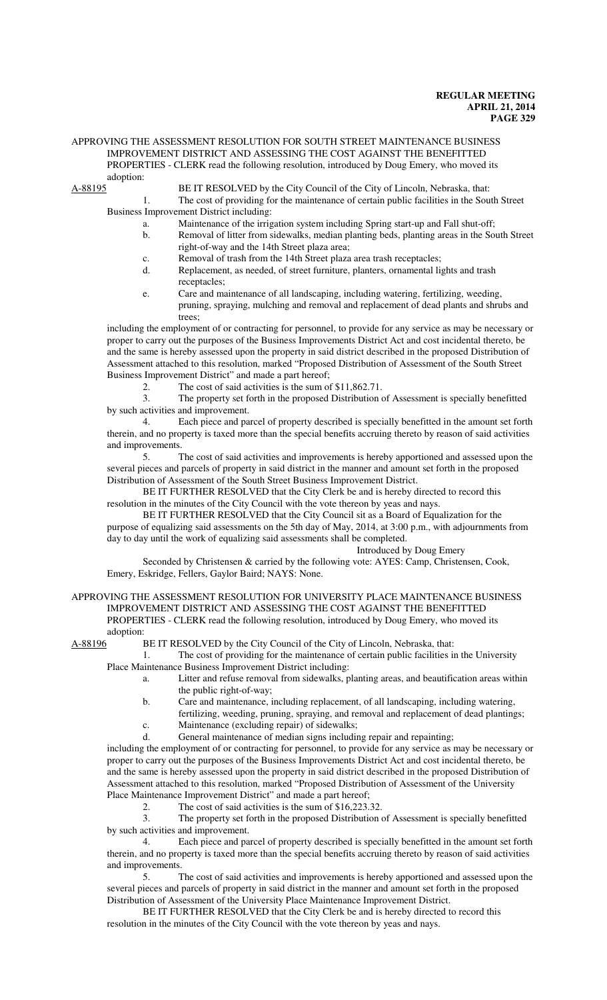## APPROVING THE ASSESSMENT RESOLUTION FOR SOUTH STREET MAINTENANCE BUSINESS IMPROVEMENT DISTRICT AND ASSESSING THE COST AGAINST THE BENEFITTED PROPERTIES - CLERK read the following resolution, introduced by Doug Emery, who moved its adoption:<br>A-88195

BE IT RESOLVED by the City Council of the City of Lincoln, Nebraska, that:

1. The cost of providing for the maintenance of certain public facilities in the South Street Business Improvement District including:

- a. Maintenance of the irrigation system including Spring start-up and Fall shut-off;
- b. Removal of litter from sidewalks, median planting beds, planting areas in the South Street right-of-way and the 14th Street plaza area;
- c. Removal of trash from the 14th Street plaza area trash receptacles;
- d. Replacement, as needed, of street furniture, planters, ornamental lights and trash receptacles;
- e. Care and maintenance of all landscaping, including watering, fertilizing, weeding, pruning, spraying, mulching and removal and replacement of dead plants and shrubs and trees;

including the employment of or contracting for personnel, to provide for any service as may be necessary or proper to carry out the purposes of the Business Improvements District Act and cost incidental thereto, be and the same is hereby assessed upon the property in said district described in the proposed Distribution of Assessment attached to this resolution, marked "Proposed Distribution of Assessment of the South Street Business Improvement District" and made a part hereof;

2. The cost of said activities is the sum of  $$11,862.71$ .<br>
The property set forth in the proposed Distribution of

The property set forth in the proposed Distribution of Assessment is specially benefitted by such activities and improvement.

 4. Each piece and parcel of property described is specially benefitted in the amount set forth therein, and no property is taxed more than the special benefits accruing thereto by reason of said activities and improvements.

5. The cost of said activities and improvements is hereby apportioned and assessed upon the several pieces and parcels of property in said district in the manner and amount set forth in the proposed Distribution of Assessment of the South Street Business Improvement District.

BE IT FURTHER RESOLVED that the City Clerk be and is hereby directed to record this resolution in the minutes of the City Council with the vote thereon by yeas and nays.

BE IT FURTHER RESOLVED that the City Council sit as a Board of Equalization for the purpose of equalizing said assessments on the 5th day of May, 2014, at 3:00 p.m., with adjournments from day to day until the work of equalizing said assessments shall be completed.

Introduced by Doug Emery

Seconded by Christensen & carried by the following vote: AYES: Camp, Christensen, Cook, Emery, Eskridge, Fellers, Gaylor Baird; NAYS: None.

## APPROVING THE ASSESSMENT RESOLUTION FOR UNIVERSITY PLACE MAINTENANCE BUSINESS IMPROVEMENT DISTRICT AND ASSESSING THE COST AGAINST THE BENEFITTED PROPERTIES - CLERK read the following resolution, introduced by Doug Emery, who moved its adoption:<br>A-88196 F

BE IT RESOLVED by the City Council of the City of Lincoln, Nebraska, that:

1. The cost of providing for the maintenance of certain public facilities in the University Place Maintenance Business Improvement District including:

- a. Litter and refuse removal from sidewalks, planting areas, and beautification areas within the public right-of-way;
- b. Care and maintenance, including replacement, of all landscaping, including watering,
- fertilizing, weeding, pruning, spraying, and removal and replacement of dead plantings; c. Maintenance (excluding repair) of sidewalks;
- d. General maintenance of median signs including repair and repainting;

including the employment of or contracting for personnel, to provide for any service as may be necessary or proper to carry out the purposes of the Business Improvements District Act and cost incidental thereto, be and the same is hereby assessed upon the property in said district described in the proposed Distribution of Assessment attached to this resolution, marked "Proposed Distribution of Assessment of the University Place Maintenance Improvement District" and made a part hereof;

2. The cost of said activities is the sum of \$16,223.32.

3. The property set forth in the proposed Distribution of Assessment is specially benefitted by such activities and improvement.

 4. Each piece and parcel of property described is specially benefitted in the amount set forth therein, and no property is taxed more than the special benefits accruing thereto by reason of said activities and improvements.

5. The cost of said activities and improvements is hereby apportioned and assessed upon the several pieces and parcels of property in said district in the manner and amount set forth in the proposed Distribution of Assessment of the University Place Maintenance Improvement District.

BE IT FURTHER RESOLVED that the City Clerk be and is hereby directed to record this resolution in the minutes of the City Council with the vote thereon by yeas and nays.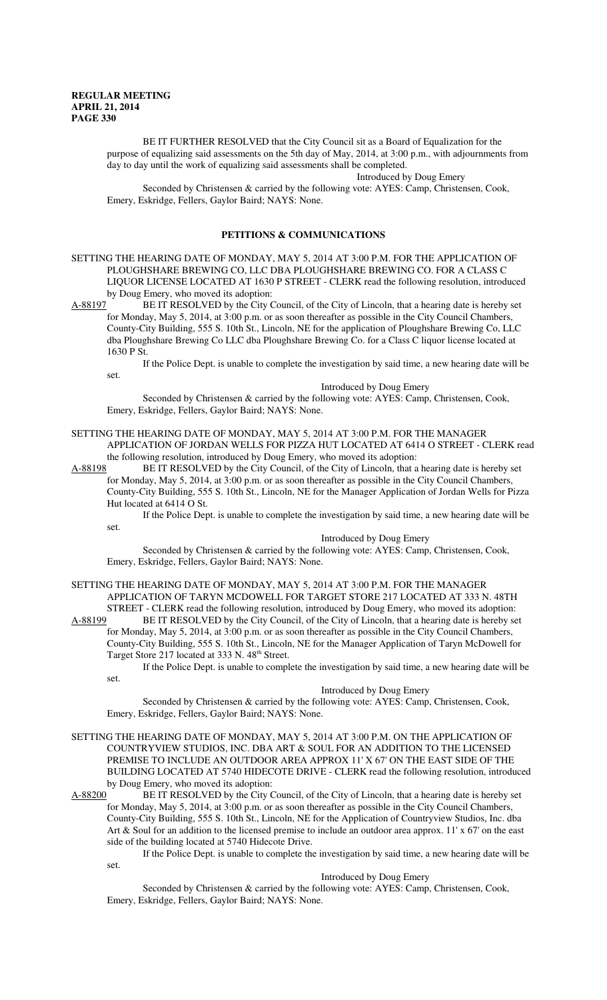set.

BE IT FURTHER RESOLVED that the City Council sit as a Board of Equalization for the purpose of equalizing said assessments on the 5th day of May, 2014, at 3:00 p.m., with adjournments from day to day until the work of equalizing said assessments shall be completed.

Introduced by Doug Emery

Seconded by Christensen & carried by the following vote: AYES: Camp, Christensen, Cook, Emery, Eskridge, Fellers, Gaylor Baird; NAYS: None.

### **PETITIONS & COMMUNICATIONS**

SETTING THE HEARING DATE OF MONDAY, MAY 5, 2014 AT 3:00 P.M. FOR THE APPLICATION OF PLOUGHSHARE BREWING CO, LLC DBA PLOUGHSHARE BREWING CO. FOR A CLASS C LIQUOR LICENSE LOCATED AT 1630 P STREET - CLERK read the following resolution, introduced

by Doug Emery, who moved its adoption:<br>A-88197 BE IT RESOLVED by the City O BE IT RESOLVED by the City Council, of the City of Lincoln, that a hearing date is hereby set for Monday, May 5, 2014, at 3:00 p.m. or as soon thereafter as possible in the City Council Chambers, County-City Building, 555 S. 10th St., Lincoln, NE for the application of Ploughshare Brewing Co, LLC dba Ploughshare Brewing Co LLC dba Ploughshare Brewing Co. for a Class C liquor license located at 1630 P St.

If the Police Dept. is unable to complete the investigation by said time, a new hearing date will be

Introduced by Doug Emery

Seconded by Christensen & carried by the following vote: AYES: Camp, Christensen, Cook, Emery, Eskridge, Fellers, Gaylor Baird; NAYS: None.

SETTING THE HEARING DATE OF MONDAY, MAY 5, 2014 AT 3:00 P.M. FOR THE MANAGER APPLICATION OF JORDAN WELLS FOR PIZZA HUT LOCATED AT 6414 O STREET - CLERK read the following resolution, introduced by Doug Emery, who moved its adoption:

A-88198 BE IT RESOLVED by the City Council, of the City of Lincoln, that a hearing date is hereby set for Monday, May 5, 2014, at 3:00 p.m. or as soon thereafter as possible in the City Council Chambers, County-City Building, 555 S. 10th St., Lincoln, NE for the Manager Application of Jordan Wells for Pizza Hut located at 6414 O St.

If the Police Dept. is unable to complete the investigation by said time, a new hearing date will be set.

Introduced by Doug Emery

Seconded by Christensen & carried by the following vote: AYES: Camp, Christensen, Cook, Emery, Eskridge, Fellers, Gaylor Baird; NAYS: None.

SETTING THE HEARING DATE OF MONDAY, MAY 5, 2014 AT 3:00 P.M. FOR THE MANAGER APPLICATION OF TARYN MCDOWELL FOR TARGET STORE 217 LOCATED AT 333 N. 48TH STREET - CLERK read the following resolution, introduced by Doug Emery, who moved its adoption:

A-88199 BE IT RESOLVED by the City Council, of the City of Lincoln, that a hearing date is hereby set for Monday, May 5, 2014, at 3:00 p.m. or as soon thereafter as possible in the City Council Chambers, County-City Building, 555 S. 10th St., Lincoln, NE for the Manager Application of Taryn McDowell for Target Store 217 located at 333 N. 48<sup>th</sup> Street.

If the Police Dept. is unable to complete the investigation by said time, a new hearing date will be set.

#### Introduced by Doug Emery

Seconded by Christensen & carried by the following vote: AYES: Camp, Christensen, Cook, Emery, Eskridge, Fellers, Gaylor Baird; NAYS: None.

- SETTING THE HEARING DATE OF MONDAY, MAY 5, 2014 AT 3:00 P.M. ON THE APPLICATION OF COUNTRYVIEW STUDIOS, INC. DBA ART & SOUL FOR AN ADDITION TO THE LICENSED PREMISE TO INCLUDE AN OUTDOOR AREA APPROX 11' X 67' ON THE EAST SIDE OF THE BUILDING LOCATED AT 5740 HIDECOTE DRIVE - CLERK read the following resolution, introduced by Doug Emery, who moved its adoption:
- A-88200 BE IT RESOLVED by the City Council, of the City of Lincoln, that a hearing date is hereby set for Monday, May 5, 2014, at 3:00 p.m. or as soon thereafter as possible in the City Council Chambers, County-City Building, 555 S. 10th St., Lincoln, NE for the Application of Countryview Studios, Inc. dba Art & Soul for an addition to the licensed premise to include an outdoor area approx. 11' x 67' on the east side of the building located at 5740 Hidecote Drive.

If the Police Dept. is unable to complete the investigation by said time, a new hearing date will be set.

#### Introduced by Doug Emery

Seconded by Christensen & carried by the following vote: AYES: Camp, Christensen, Cook, Emery, Eskridge, Fellers, Gaylor Baird; NAYS: None.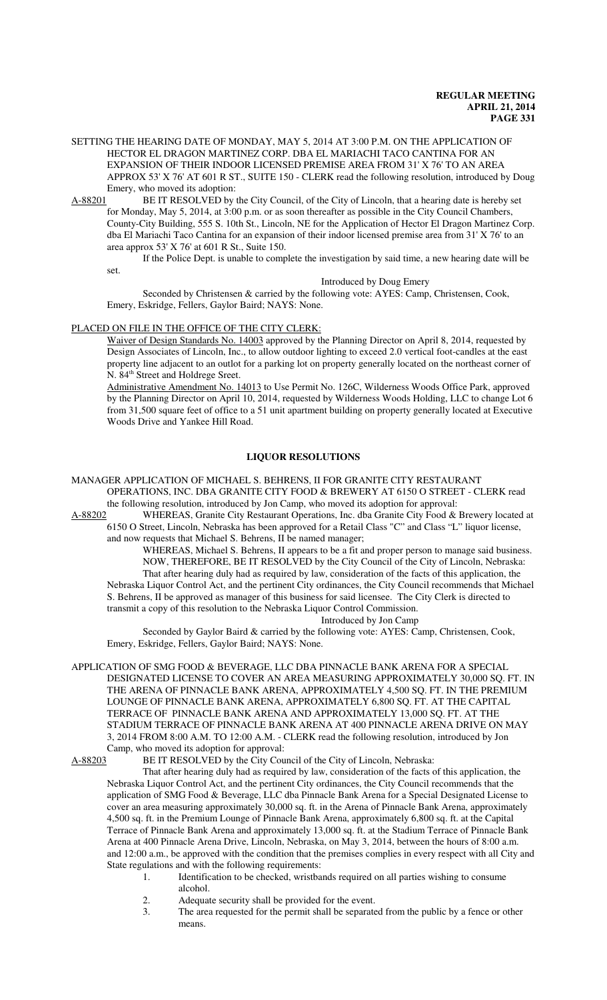SETTING THE HEARING DATE OF MONDAY, MAY 5, 2014 AT 3:00 P.M. ON THE APPLICATION OF HECTOR EL DRAGON MARTINEZ CORP. DBA EL MARIACHI TACO CANTINA FOR AN EXPANSION OF THEIR INDOOR LICENSED PREMISE AREA FROM 31' X 76' TO AN AREA APPROX 53' X 76' AT 601 R ST., SUITE 150 - CLERK read the following resolution, introduced by Doug Emery, who moved its adoption:

A-88201 BE IT RESOLVED by the City Council, of the City of Lincoln, that a hearing date is hereby set for Monday, May 5, 2014, at 3:00 p.m. or as soon thereafter as possible in the City Council Chambers, County-City Building, 555 S. 10th St., Lincoln, NE for the Application of Hector El Dragon Martinez Corp. dba El Mariachi Taco Cantina for an expansion of their indoor licensed premise area from 31' X 76' to an area approx 53' X 76' at 601 R St., Suite 150.

If the Police Dept. is unable to complete the investigation by said time, a new hearing date will be

set.

Introduced by Doug Emery

Seconded by Christensen & carried by the following vote: AYES: Camp, Christensen, Cook, Emery, Eskridge, Fellers, Gaylor Baird; NAYS: None.

## PLACED ON FILE IN THE OFFICE OF THE CITY CLERK:

Waiver of Design Standards No. 14003 approved by the Planning Director on April 8, 2014, requested by Design Associates of Lincoln, Inc., to allow outdoor lighting to exceed 2.0 vertical foot-candles at the east property line adjacent to an outlot for a parking lot on property generally located on the northeast corner of N. 84<sup>th</sup> Street and Holdrege Sreet.

Administrative Amendment No. 14013 to Use Permit No. 126C, Wilderness Woods Office Park, approved by the Planning Director on April 10, 2014, requested by Wilderness Woods Holding, LLC to change Lot 6 from 31,500 square feet of office to a 51 unit apartment building on property generally located at Executive Woods Drive and Yankee Hill Road.

## **LIQUOR RESOLUTIONS**

MANAGER APPLICATION OF MICHAEL S. BEHRENS, II FOR GRANITE CITY RESTAURANT OPERATIONS, INC. DBA GRANITE CITY FOOD & BREWERY AT 6150 O STREET - CLERK read the following resolution, introduced by Jon Camp, who moved its adoption for approval:

A-88202 WHEREAS, Granite City Restaurant Operations, Inc. dba Granite City Food & Brewery located at 6150 O Street, Lincoln, Nebraska has been approved for a Retail Class "C" and Class "L" liquor license,

and now requests that Michael S. Behrens, II be named manager;

WHEREAS, Michael S. Behrens, II appears to be a fit and proper person to manage said business. NOW, THEREFORE, BE IT RESOLVED by the City Council of the City of Lincoln, Nebraska: That after hearing duly had as required by law, consideration of the facts of this application, the Nebraska Liquor Control Act, and the pertinent City ordinances, the City Council recommends that Michael S. Behrens, II be approved as manager of this business for said licensee. The City Clerk is directed to transmit a copy of this resolution to the Nebraska Liquor Control Commission.

Introduced by Jon Camp

Seconded by Gaylor Baird & carried by the following vote: AYES: Camp, Christensen, Cook, Emery, Eskridge, Fellers, Gaylor Baird; NAYS: None.

APPLICATION OF SMG FOOD & BEVERAGE, LLC DBA PINNACLE BANK ARENA FOR A SPECIAL DESIGNATED LICENSE TO COVER AN AREA MEASURING APPROXIMATELY 30,000 SQ. FT. IN THE ARENA OF PINNACLE BANK ARENA, APPROXIMATELY 4,500 SQ. FT. IN THE PREMIUM LOUNGE OF PINNACLE BANK ARENA, APPROXIMATELY 6,800 SQ. FT. AT THE CAPITAL TERRACE OF PINNACLE BANK ARENA AND APPROXIMATELY 13,000 SQ. FT. AT THE STADIUM TERRACE OF PINNACLE BANK ARENA AT 400 PINNACLE ARENA DRIVE ON MAY 3, 2014 FROM 8:00 A.M. TO 12:00 A.M. - CLERK read the following resolution, introduced by Jon Camp, who moved its adoption for approval:

A-88203 BE IT RESOLVED by the City Council of the City of Lincoln, Nebraska:

That after hearing duly had as required by law, consideration of the facts of this application, the Nebraska Liquor Control Act, and the pertinent City ordinances, the City Council recommends that the application of SMG Food & Beverage, LLC dba Pinnacle Bank Arena for a Special Designated License to cover an area measuring approximately 30,000 sq. ft. in the Arena of Pinnacle Bank Arena, approximately 4,500 sq. ft. in the Premium Lounge of Pinnacle Bank Arena, approximately 6,800 sq. ft. at the Capital Terrace of Pinnacle Bank Arena and approximately 13,000 sq. ft. at the Stadium Terrace of Pinnacle Bank Arena at 400 Pinnacle Arena Drive, Lincoln, Nebraska, on May 3, 2014, between the hours of 8:00 a.m. and 12:00 a.m., be approved with the condition that the premises complies in every respect with all City and State regulations and with the following requirements:

- 1. Identification to be checked, wristbands required on all parties wishing to consume alcohol.
- 2. Adequate security shall be provided for the event.

3. The area requested for the permit shall be separated from the public by a fence or other means.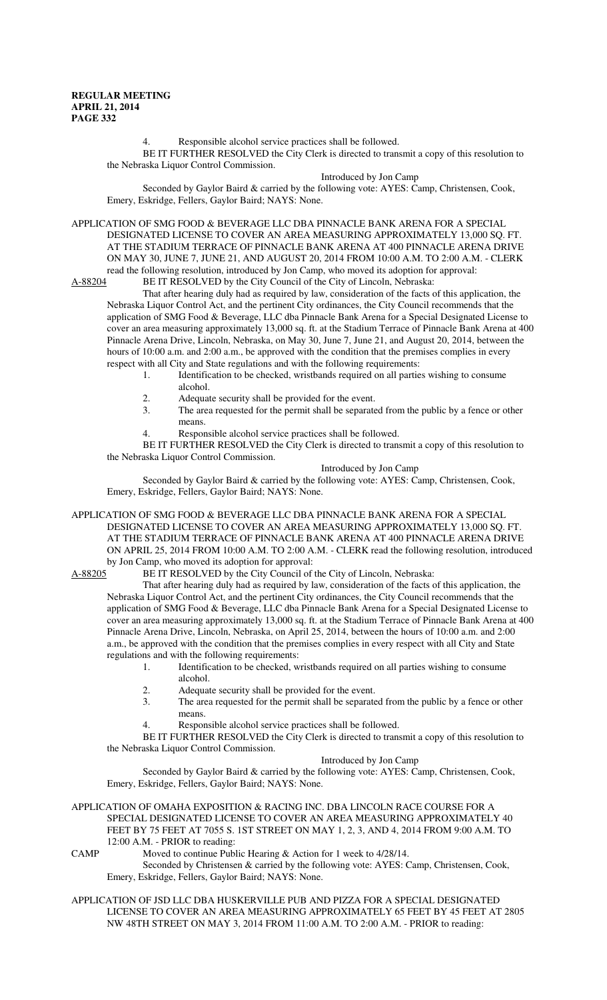4. Responsible alcohol service practices shall be followed.

BE IT FURTHER RESOLVED the City Clerk is directed to transmit a copy of this resolution to the Nebraska Liquor Control Commission.

Introduced by Jon Camp

Seconded by Gaylor Baird & carried by the following vote: AYES: Camp, Christensen, Cook, Emery, Eskridge, Fellers, Gaylor Baird; NAYS: None.

APPLICATION OF SMG FOOD & BEVERAGE LLC DBA PINNACLE BANK ARENA FOR A SPECIAL DESIGNATED LICENSE TO COVER AN AREA MEASURING APPROXIMATELY 13,000 SQ. FT. AT THE STADIUM TERRACE OF PINNACLE BANK ARENA AT 400 PINNACLE ARENA DRIVE ON MAY 30, JUNE 7, JUNE 21, AND AUGUST 20, 2014 FROM 10:00 A.M. TO 2:00 A.M. - CLERK read the following resolution, introduced by Jon Camp, who moved its adoption for approval:<br>A-88204 BE IT RESOLVED by the City Council of the City of Lincoln, Nebraska:

BE IT RESOLVED by the City Council of the City of Lincoln, Nebraska:

That after hearing duly had as required by law, consideration of the facts of this application, the Nebraska Liquor Control Act, and the pertinent City ordinances, the City Council recommends that the application of SMG Food & Beverage, LLC dba Pinnacle Bank Arena for a Special Designated License to cover an area measuring approximately 13,000 sq. ft. at the Stadium Terrace of Pinnacle Bank Arena at 400 Pinnacle Arena Drive, Lincoln, Nebraska, on May 30, June 7, June 21, and August 20, 2014, between the hours of 10:00 a.m. and 2:00 a.m., be approved with the condition that the premises complies in every respect with all City and State regulations and with the following requirements:

- 1. Identification to be checked, wristbands required on all parties wishing to consume alcohol.
- 2. Adequate security shall be provided for the event.<br>3. The area requested for the permit shall be separate
- The area requested for the permit shall be separated from the public by a fence or other means.
- Responsible alcohol service practices shall be followed.

BE IT FURTHER RESOLVED the City Clerk is directed to transmit a copy of this resolution to the Nebraska Liquor Control Commission.

#### Introduced by Jon Camp

Seconded by Gaylor Baird & carried by the following vote: AYES: Camp, Christensen, Cook, Emery, Eskridge, Fellers, Gaylor Baird; NAYS: None.

APPLICATION OF SMG FOOD & BEVERAGE LLC DBA PINNACLE BANK ARENA FOR A SPECIAL DESIGNATED LICENSE TO COVER AN AREA MEASURING APPROXIMATELY 13,000 SQ. FT. AT THE STADIUM TERRACE OF PINNACLE BANK ARENA AT 400 PINNACLE ARENA DRIVE ON APRIL 25, 2014 FROM 10:00 A.M. TO 2:00 A.M. - CLERK read the following resolution, introduced by Jon Camp, who moved its adoption for approval:<br>A-88205 BE IT RESOLVED by the City Council of

BE IT RESOLVED by the City Council of the City of Lincoln, Nebraska:

That after hearing duly had as required by law, consideration of the facts of this application, the Nebraska Liquor Control Act, and the pertinent City ordinances, the City Council recommends that the application of SMG Food & Beverage, LLC dba Pinnacle Bank Arena for a Special Designated License to cover an area measuring approximately 13,000 sq. ft. at the Stadium Terrace of Pinnacle Bank Arena at 400 Pinnacle Arena Drive, Lincoln, Nebraska, on April 25, 2014, between the hours of 10:00 a.m. and 2:00 a.m., be approved with the condition that the premises complies in every respect with all City and State regulations and with the following requirements:

- 1. Identification to be checked, wristbands required on all parties wishing to consume alcohol.
- 2. Adequate security shall be provided for the event.
- 3. The area requested for the permit shall be separated from the public by a fence or other means.
- Responsible alcohol service practices shall be followed.

BE IT FURTHER RESOLVED the City Clerk is directed to transmit a copy of this resolution to the Nebraska Liquor Control Commission.

#### Introduced by Jon Camp

Seconded by Gaylor Baird & carried by the following vote: AYES: Camp, Christensen, Cook, Emery, Eskridge, Fellers, Gaylor Baird; NAYS: None.

APPLICATION OF OMAHA EXPOSITION & RACING INC. DBA LINCOLN RACE COURSE FOR A SPECIAL DESIGNATED LICENSE TO COVER AN AREA MEASURING APPROXIMATELY 40 FEET BY 75 FEET AT 7055 S. 1ST STREET ON MAY 1, 2, 3, AND 4, 2014 FROM 9:00 A.M. TO 12:00 A.M. - PRIOR to reading:

CAMP Moved to continue Public Hearing & Action for 1 week to 4/28/14. Seconded by Christensen & carried by the following vote: AYES: Camp, Christensen, Cook, Emery, Eskridge, Fellers, Gaylor Baird; NAYS: None.

APPLICATION OF JSD LLC DBA HUSKERVILLE PUB AND PIZZA FOR A SPECIAL DESIGNATED LICENSE TO COVER AN AREA MEASURING APPROXIMATELY 65 FEET BY 45 FEET AT 2805 NW 48TH STREET ON MAY 3, 2014 FROM 11:00 A.M. TO 2:00 A.M. - PRIOR to reading: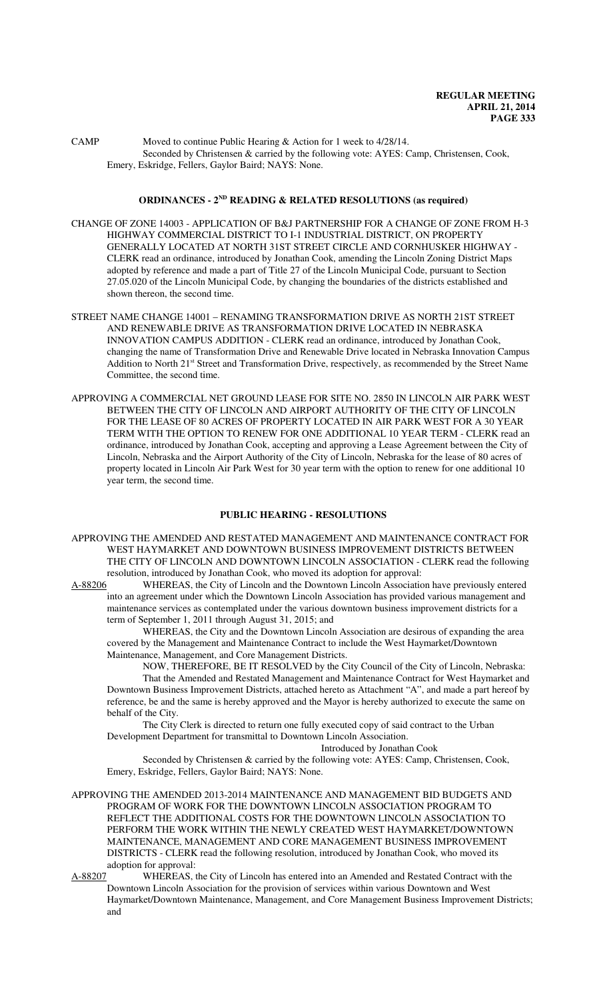CAMP Moved to continue Public Hearing & Action for 1 week to 4/28/14. Seconded by Christensen & carried by the following vote: AYES: Camp, Christensen, Cook, Emery, Eskridge, Fellers, Gaylor Baird; NAYS: None.

## **ORDINANCES - 2ND READING & RELATED RESOLUTIONS (as required)**

CHANGE OF ZONE 14003 - APPLICATION OF B&J PARTNERSHIP FOR A CHANGE OF ZONE FROM H-3 HIGHWAY COMMERCIAL DISTRICT TO I-1 INDUSTRIAL DISTRICT, ON PROPERTY GENERALLY LOCATED AT NORTH 31ST STREET CIRCLE AND CORNHUSKER HIGHWAY - CLERK read an ordinance, introduced by Jonathan Cook, amending the Lincoln Zoning District Maps adopted by reference and made a part of Title 27 of the Lincoln Municipal Code, pursuant to Section 27.05.020 of the Lincoln Municipal Code, by changing the boundaries of the districts established and shown thereon, the second time.

- STREET NAME CHANGE 14001 RENAMING TRANSFORMATION DRIVE AS NORTH 21ST STREET AND RENEWABLE DRIVE AS TRANSFORMATION DRIVE LOCATED IN NEBRASKA INNOVATION CAMPUS ADDITION - CLERK read an ordinance, introduced by Jonathan Cook, changing the name of Transformation Drive and Renewable Drive located in Nebraska Innovation Campus Addition to North 21<sup>st</sup> Street and Transformation Drive, respectively, as recommended by the Street Name Committee, the second time.
- APPROVING A COMMERCIAL NET GROUND LEASE FOR SITE NO. 2850 IN LINCOLN AIR PARK WEST BETWEEN THE CITY OF LINCOLN AND AIRPORT AUTHORITY OF THE CITY OF LINCOLN FOR THE LEASE OF 80 ACRES OF PROPERTY LOCATED IN AIR PARK WEST FOR A 30 YEAR TERM WITH THE OPTION TO RENEW FOR ONE ADDITIONAL 10 YEAR TERM - CLERK read an ordinance, introduced by Jonathan Cook, accepting and approving a Lease Agreement between the City of Lincoln, Nebraska and the Airport Authority of the City of Lincoln, Nebraska for the lease of 80 acres of property located in Lincoln Air Park West for 30 year term with the option to renew for one additional 10 year term, the second time.

#### **PUBLIC HEARING - RESOLUTIONS**

APPROVING THE AMENDED AND RESTATED MANAGEMENT AND MAINTENANCE CONTRACT FOR WEST HAYMARKET AND DOWNTOWN BUSINESS IMPROVEMENT DISTRICTS BETWEEN THE CITY OF LINCOLN AND DOWNTOWN LINCOLN ASSOCIATION - CLERK read the following resolution, introduced by Jonathan Cook, who moved its adoption for approval:

A-88206 WHEREAS, the City of Lincoln and the Downtown Lincoln Association have previously entered into an agreement under which the Downtown Lincoln Association has provided various management and maintenance services as contemplated under the various downtown business improvement districts for a term of September 1, 2011 through August 31, 2015; and

WHEREAS, the City and the Downtown Lincoln Association are desirous of expanding the area covered by the Management and Maintenance Contract to include the West Haymarket/Downtown Maintenance, Management, and Core Management Districts.

NOW, THEREFORE, BE IT RESOLVED by the City Council of the City of Lincoln, Nebraska: That the Amended and Restated Management and Maintenance Contract for West Haymarket and Downtown Business Improvement Districts, attached hereto as Attachment "A", and made a part hereof by reference, be and the same is hereby approved and the Mayor is hereby authorized to execute the same on behalf of the City.

The City Clerk is directed to return one fully executed copy of said contract to the Urban Development Department for transmittal to Downtown Lincoln Association.

Introduced by Jonathan Cook

Seconded by Christensen & carried by the following vote: AYES: Camp, Christensen, Cook, Emery, Eskridge, Fellers, Gaylor Baird; NAYS: None.

APPROVING THE AMENDED 2013-2014 MAINTENANCE AND MANAGEMENT BID BUDGETS AND PROGRAM OF WORK FOR THE DOWNTOWN LINCOLN ASSOCIATION PROGRAM TO REFLECT THE ADDITIONAL COSTS FOR THE DOWNTOWN LINCOLN ASSOCIATION TO PERFORM THE WORK WITHIN THE NEWLY CREATED WEST HAYMARKET/DOWNTOWN MAINTENANCE, MANAGEMENT AND CORE MANAGEMENT BUSINESS IMPROVEMENT DISTRICTS - CLERK read the following resolution, introduced by Jonathan Cook, who moved its adoption for approval:

A-88207 WHEREAS, the City of Lincoln has entered into an Amended and Restated Contract with the Downtown Lincoln Association for the provision of services within various Downtown and West Haymarket/Downtown Maintenance, Management, and Core Management Business Improvement Districts; and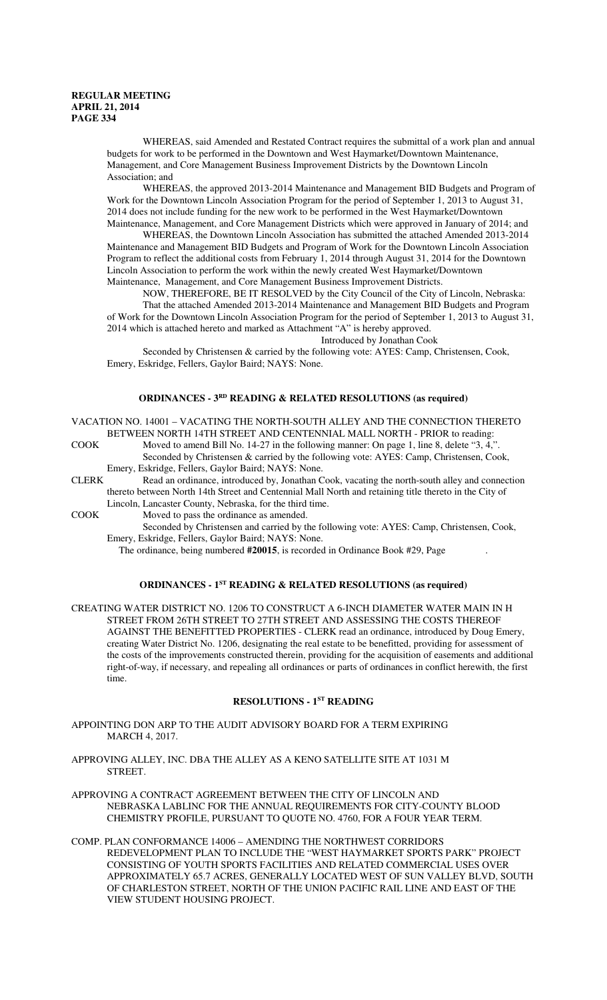WHEREAS, said Amended and Restated Contract requires the submittal of a work plan and annual budgets for work to be performed in the Downtown and West Haymarket/Downtown Maintenance, Management, and Core Management Business Improvement Districts by the Downtown Lincoln Association; and

WHEREAS, the approved 2013-2014 Maintenance and Management BID Budgets and Program of Work for the Downtown Lincoln Association Program for the period of September 1, 2013 to August 31, 2014 does not include funding for the new work to be performed in the West Haymarket/Downtown Maintenance, Management, and Core Management Districts which were approved in January of 2014; and

WHEREAS, the Downtown Lincoln Association has submitted the attached Amended 2013-2014 Maintenance and Management BID Budgets and Program of Work for the Downtown Lincoln Association Program to reflect the additional costs from February 1, 2014 through August 31, 2014 for the Downtown Lincoln Association to perform the work within the newly created West Haymarket/Downtown Maintenance, Management, and Core Management Business Improvement Districts.

NOW, THEREFORE, BE IT RESOLVED by the City Council of the City of Lincoln, Nebraska: That the attached Amended 2013-2014 Maintenance and Management BID Budgets and Program of Work for the Downtown Lincoln Association Program for the period of September 1, 2013 to August 31, 2014 which is attached hereto and marked as Attachment "A" is hereby approved.

Introduced by Jonathan Cook

Seconded by Christensen & carried by the following vote: AYES: Camp, Christensen, Cook, Emery, Eskridge, Fellers, Gaylor Baird; NAYS: None.

## **ORDINANCES - 3RD READING & RELATED RESOLUTIONS (as required)**

VACATION NO. 14001 – VACATING THE NORTH-SOUTH ALLEY AND THE CONNECTION THERETO BETWEEN NORTH 14TH STREET AND CENTENNIAL MALL NORTH - PRIOR to reading:

COOK Moved to amend Bill No. 14-27 in the following manner: On page 1, line 8, delete "3, 4," Seconded by Christensen & carried by the following vote: AYES: Camp, Christensen, Cook, Emery, Eskridge, Fellers, Gaylor Baird; NAYS: None.

CLERK Read an ordinance, introduced by, Jonathan Cook, vacating the north-south alley and connection thereto between North 14th Street and Centennial Mall North and retaining title thereto in the City of Lincoln, Lancaster County, Nebraska, for the third time.

COOK Moved to pass the ordinance as amended.

Seconded by Christensen and carried by the following vote: AYES: Camp, Christensen, Cook, Emery, Eskridge, Fellers, Gaylor Baird; NAYS: None.

The ordinance, being numbered **#20015**, is recorded in Ordinance Book #29, Page .

## **ORDINANCES - 1ST READING & RELATED RESOLUTIONS (as required)**

CREATING WATER DISTRICT NO. 1206 TO CONSTRUCT A 6-INCH DIAMETER WATER MAIN IN H STREET FROM 26TH STREET TO 27TH STREET AND ASSESSING THE COSTS THEREOF AGAINST THE BENEFITTED PROPERTIES - CLERK read an ordinance, introduced by Doug Emery, creating Water District No. 1206, designating the real estate to be benefitted, providing for assessment of the costs of the improvements constructed therein, providing for the acquisition of easements and additional right-of-way, if necessary, and repealing all ordinances or parts of ordinances in conflict herewith, the first time.

## **RESOLUTIONS - 1ST READING**

- APPOINTING DON ARP TO THE AUDIT ADVISORY BOARD FOR A TERM EXPIRING MARCH 4, 2017.
- APPROVING ALLEY, INC. DBA THE ALLEY AS A KENO SATELLITE SITE AT 1031 M STREET.

APPROVING A CONTRACT AGREEMENT BETWEEN THE CITY OF LINCOLN AND NEBRASKA LABLINC FOR THE ANNUAL REQUIREMENTS FOR CITY-COUNTY BLOOD CHEMISTRY PROFILE, PURSUANT TO QUOTE NO. 4760, FOR A FOUR YEAR TERM.

COMP. PLAN CONFORMANCE 14006 – AMENDING THE NORTHWEST CORRIDORS REDEVELOPMENT PLAN TO INCLUDE THE "WEST HAYMARKET SPORTS PARK" PROJECT CONSISTING OF YOUTH SPORTS FACILITIES AND RELATED COMMERCIAL USES OVER APPROXIMATELY 65.7 ACRES, GENERALLY LOCATED WEST OF SUN VALLEY BLVD, SOUTH OF CHARLESTON STREET, NORTH OF THE UNION PACIFIC RAIL LINE AND EAST OF THE VIEW STUDENT HOUSING PROJECT.